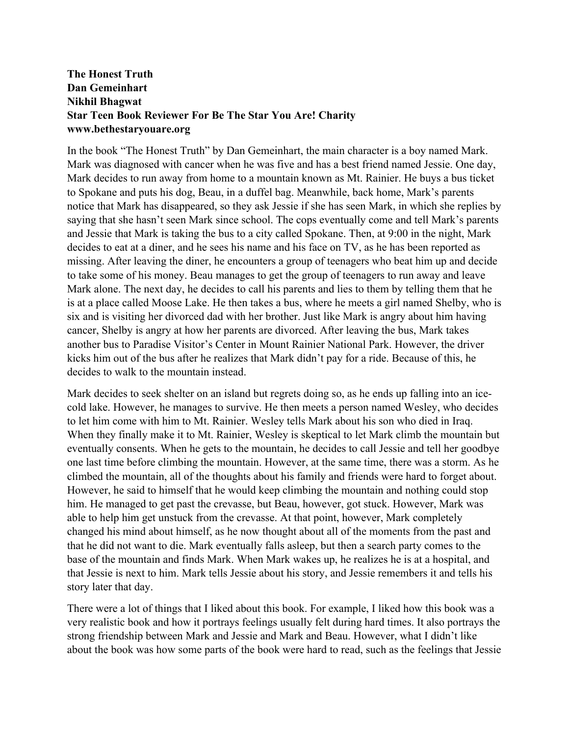## **The Honest Truth Dan Gemeinhart Nikhil Bhagwat Star Teen Book Reviewer For Be The Star You Are! Charity www.bethestaryouare.org**

In the book "The Honest Truth" by Dan Gemeinhart, the main character is a boy named Mark. Mark was diagnosed with cancer when he was five and has a best friend named Jessie. One day, Mark decides to run away from home to a mountain known as Mt. Rainier. He buys a bus ticket to Spokane and puts his dog, Beau, in a duffel bag. Meanwhile, back home, Mark's parents notice that Mark has disappeared, so they ask Jessie if she has seen Mark, in which she replies by saying that she hasn't seen Mark since school. The cops eventually come and tell Mark's parents and Jessie that Mark is taking the bus to a city called Spokane. Then, at 9:00 in the night, Mark decides to eat at a diner, and he sees his name and his face on TV, as he has been reported as missing. After leaving the diner, he encounters a group of teenagers who beat him up and decide to take some of his money. Beau manages to get the group of teenagers to run away and leave Mark alone. The next day, he decides to call his parents and lies to them by telling them that he is at a place called Moose Lake. He then takes a bus, where he meets a girl named Shelby, who is six and is visiting her divorced dad with her brother. Just like Mark is angry about him having cancer, Shelby is angry at how her parents are divorced. After leaving the bus, Mark takes another bus to Paradise Visitor's Center in Mount Rainier National Park. However, the driver kicks him out of the bus after he realizes that Mark didn't pay for a ride. Because of this, he decides to walk to the mountain instead.

Mark decides to seek shelter on an island but regrets doing so, as he ends up falling into an icecold lake. However, he manages to survive. He then meets a person named Wesley, who decides to let him come with him to Mt. Rainier. Wesley tells Mark about his son who died in Iraq. When they finally make it to Mt. Rainier, Wesley is skeptical to let Mark climb the mountain but eventually consents. When he gets to the mountain, he decides to call Jessie and tell her goodbye one last time before climbing the mountain. However, at the same time, there was a storm. As he climbed the mountain, all of the thoughts about his family and friends were hard to forget about. However, he said to himself that he would keep climbing the mountain and nothing could stop him. He managed to get past the crevasse, but Beau, however, got stuck. However, Mark was able to help him get unstuck from the crevasse. At that point, however, Mark completely changed his mind about himself, as he now thought about all of the moments from the past and that he did not want to die. Mark eventually falls asleep, but then a search party comes to the base of the mountain and finds Mark. When Mark wakes up, he realizes he is at a hospital, and that Jessie is next to him. Mark tells Jessie about his story, and Jessie remembers it and tells his story later that day.

There were a lot of things that I liked about this book. For example, I liked how this book was a very realistic book and how it portrays feelings usually felt during hard times. It also portrays the strong friendship between Mark and Jessie and Mark and Beau. However, what I didn't like about the book was how some parts of the book were hard to read, such as the feelings that Jessie